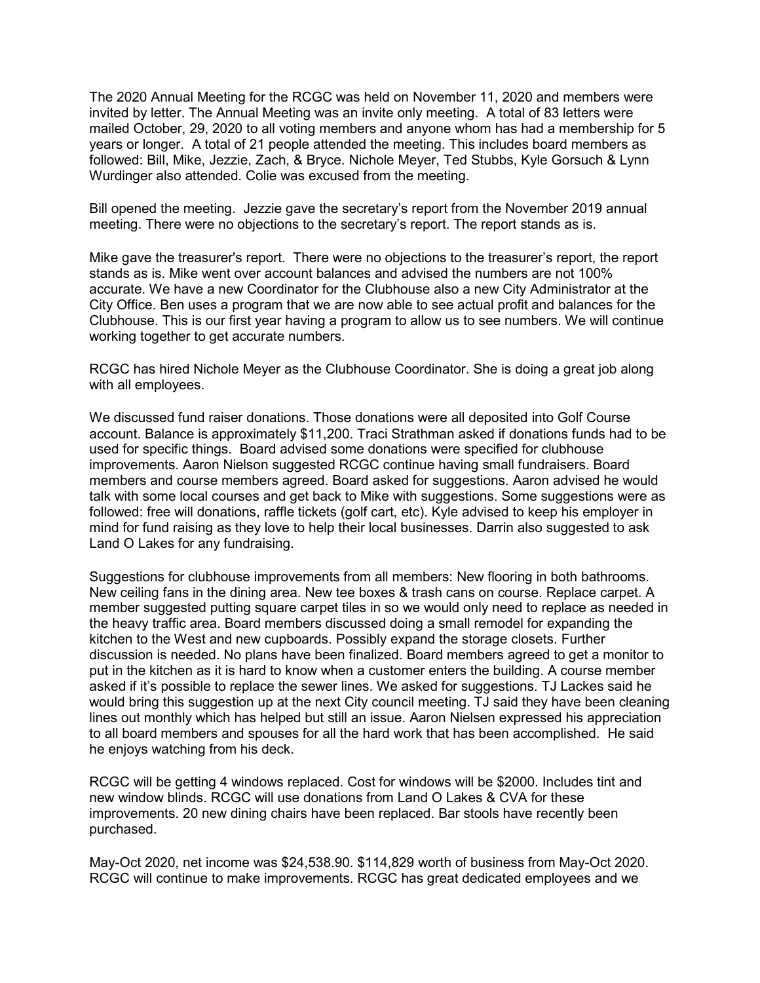The 2020 Annual Meeting for the RCGC was held on November 11, 2020 and members were invited by letter. The Annual Meeting was an invite only meeting. A total of 83 letters were mailed October, 29, 2020 to all voting members and anyone whom has had a membership for 5 years or longer. A total of 21 people attended the meeting. This includes board members as followed: Bill, Mike, Jezzie, Zach, & Bryce. Nichole Meyer, Ted Stubbs, Kyle Gorsuch & Lynn Wurdinger also attended. Colie was excused from the meeting.

Bill opened the meeting. Jezzie gave the secretary's report from the November 2019 annual meeting. There were no objections to the secretary's report. The report stands as is.

Mike gave the treasurer's report. There were no objections to the treasurer's report, the report stands as is. Mike went over account balances and advised the numbers are not 100% accurate. We have a new Coordinator for the Clubhouse also a new City Administrator at the City Office. Ben uses a program that we are now able to see actual profit and balances for the Clubhouse. This is our first year having a program to allow us to see numbers. We will continue working together to get accurate numbers.

RCGC has hired Nichole Meyer as the Clubhouse Coordinator. She is doing a great job along with all employees.

We discussed fund raiser donations. Those donations were all deposited into Golf Course account. Balance is approximately \$11,200. Traci Strathman asked if donations funds had to be used for specific things. Board advised some donations were specified for clubhouse improvements. Aaron Nielson suggested RCGC continue having small fundraisers. Board members and course members agreed. Board asked for suggestions. Aaron advised he would talk with some local courses and get back to Mike with suggestions. Some suggestions were as followed: free will donations, raffle tickets (golf cart, etc). Kyle advised to keep his employer in mind for fund raising as they love to help their local businesses. Darrin also suggested to ask Land O Lakes for any fundraising.

Suggestions for clubhouse improvements from all members: New flooring in both bathrooms. New ceiling fans in the dining area. New tee boxes & trash cans on course. Replace carpet. A member suggested putting square carpet tiles in so we would only need to replace as needed in the heavy traffic area. Board members discussed doing a small remodel for expanding the kitchen to the West and new cupboards. Possibly expand the storage closets. Further discussion is needed. No plans have been finalized. Board members agreed to get a monitor to put in the kitchen as it is hard to know when a customer enters the building. A course member asked if it's possible to replace the sewer lines. We asked for suggestions. TJ Lackes said he would bring this suggestion up at the next City council meeting. TJ said they have been cleaning lines out monthly which has helped but still an issue. Aaron Nielsen expressed his appreciation to all board members and spouses for all the hard work that has been accomplished. He said he enjoys watching from his deck.

RCGC will be getting 4 windows replaced. Cost for windows will be \$2000. Includes tint and new window blinds. RCGC will use donations from Land O Lakes & CVA for these improvements. 20 new dining chairs have been replaced. Bar stools have recently been purchased.

May-Oct 2020, net income was \$24,538.90. \$114,829 worth of business from May-Oct 2020. RCGC will continue to make improvements. RCGC has great dedicated employees and we